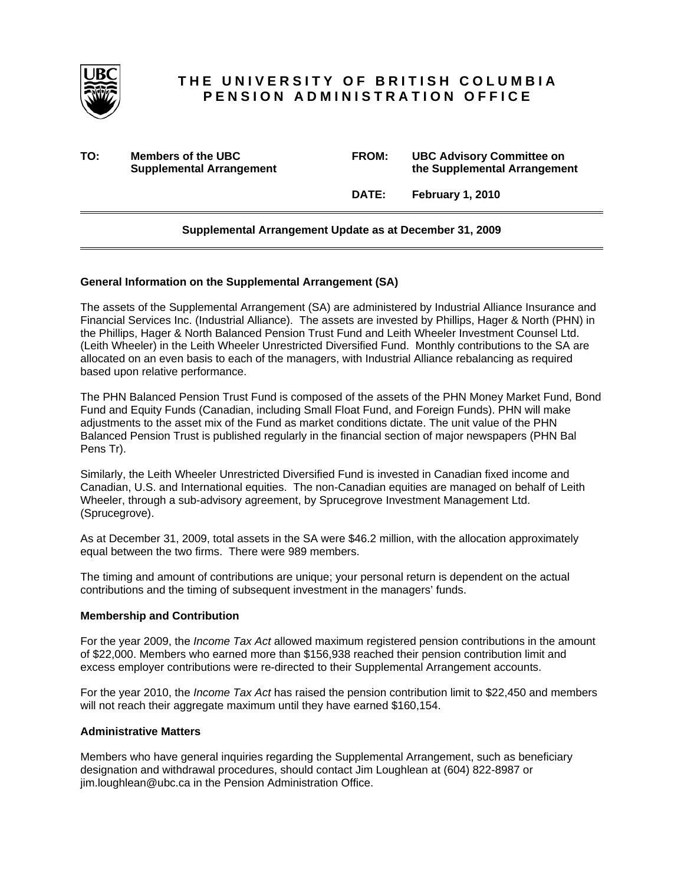

# **THE UNIVERSITY OF BRITISH COLUMBIA PENSION ADMINISTRATION OFFICE**

**TO: Members of the UBC FROM: UBC Advisory Committee on Supplemental Arrangement 12 Consumer 12 Consumer 12 Consumer 12 Consumer 12 Consumer 12 Consumer 12 Consumer 2 Consumer 2 Consumer 2 Consumer 2 Consumer 2 Consumer 2 Consumer 2 Consumer 2 Consumer 2 Consumer 2 Consumer 2** 

 **DATE: February 1, 2010** 

## **Supplemental Arrangement Update as at December 31, 2009**

### **General Information on the Supplemental Arrangement (SA)**

The assets of the Supplemental Arrangement (SA) are administered by Industrial Alliance Insurance and Financial Services Inc. (Industrial Alliance). The assets are invested by Phillips, Hager & North (PHN) in the Phillips, Hager & North Balanced Pension Trust Fund and Leith Wheeler Investment Counsel Ltd. (Leith Wheeler) in the Leith Wheeler Unrestricted Diversified Fund. Monthly contributions to the SA are allocated on an even basis to each of the managers, with Industrial Alliance rebalancing as required based upon relative performance.

The PHN Balanced Pension Trust Fund is composed of the assets of the PHN Money Market Fund, Bond Fund and Equity Funds (Canadian, including Small Float Fund, and Foreign Funds). PHN will make adjustments to the asset mix of the Fund as market conditions dictate. The unit value of the PHN Balanced Pension Trust is published regularly in the financial section of major newspapers (PHN Bal Pens Tr).

Similarly, the Leith Wheeler Unrestricted Diversified Fund is invested in Canadian fixed income and Canadian, U.S. and International equities. The non-Canadian equities are managed on behalf of Leith Wheeler, through a sub-advisory agreement, by Sprucegrove Investment Management Ltd. (Sprucegrove).

As at December 31, 2009, total assets in the SA were \$46.2 million, with the allocation approximately equal between the two firms. There were 989 members.

The timing and amount of contributions are unique; your personal return is dependent on the actual contributions and the timing of subsequent investment in the managers' funds.

#### **Membership and Contribution**

For the year 2009, the *Income Tax Act* allowed maximum registered pension contributions in the amount of \$22,000. Members who earned more than \$156,938 reached their pension contribution limit and excess employer contributions were re-directed to their Supplemental Arrangement accounts.

For the year 2010, the *Income Tax Act* has raised the pension contribution limit to \$22,450 and members will not reach their aggregate maximum until they have earned \$160,154.

## **Administrative Matters**

Members who have general inquiries regarding the Supplemental Arrangement, such as beneficiary designation and withdrawal procedures, should contact Jim Loughlean at (604) 822-8987 or jim.loughlean@ubc.ca in the Pension Administration Office.